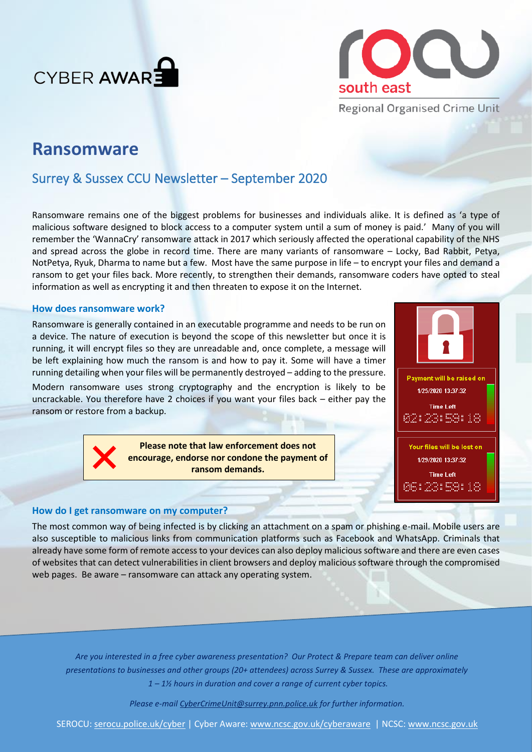



**Regional Organised Crime Unit** 

# **Ransomware**

# Surrey & Sussex CCU Newsletter – September 2020

Ransomware remains one of the biggest problems for businesses and individuals alike. It is defined as 'a type of malicious software designed to block access to a computer system until a sum of money is paid.' Many of you will remember the 'WannaCry' ransomware attack in 2017 which seriously affected the operational capability of the NHS and spread across the globe in record time. There are many variants of ransomware – Locky, Bad Rabbit, Petya, NotPetya, Ryuk, Dharma to name but a few. Most have the same purpose in life – to encrypt your files and demand a ransom to get your files back. More recently, to strengthen their demands, ransomware coders have opted to steal information as well as encrypting it and then threaten to expose it on the Internet.

## **How does ransomware work?**

Ransomware is generally contained in an executable programme and needs to be run on a device. The nature of execution is beyond the scope of this newsletter but once it is running, it will encrypt files so they are unreadable and, once complete, a message will be left explaining how much the ransom is and how to pay it. Some will have a timer running detailing when your files will be permanently destroyed – adding to the pressure.

Modern ransomware uses strong cryptography and the encryption is likely to be uncrackable. You therefore have 2 choices if you want your files back – either pay the ransom or restore from a backup.

> **Please note that law enforcement does not encourage, endorse nor condone the payment of ransom demands.**



# **How do I get ransomware on my computer?**

The most common way of being infected is by clicking an attachment on a spam or phishing e-mail. Mobile users are also susceptible to malicious links from communication platforms such as Facebook and WhatsApp. Criminals that already have some form of remote access to your devices can also deploy malicious software and there are even cases of websites that can detect vulnerabilities in client browsers and deploy malicious software through the compromised web pages. Be aware – ransomware can attack any operating system.

*Are you interested in a free cyber awareness presentation? Our Protect & Prepare team can deliver online presentations to businesses and other groups (20+ attendees) across Surrey & Sussex. These are approximately 1 – 1½ hours in duration and cover a range of current cyber topics.* 

*Please e-mail [CyberCrimeUnit@surrey.pnn.police.uk](mailto:CyberCrimeUnit@surrey.pnn.police.uk) for further information.*